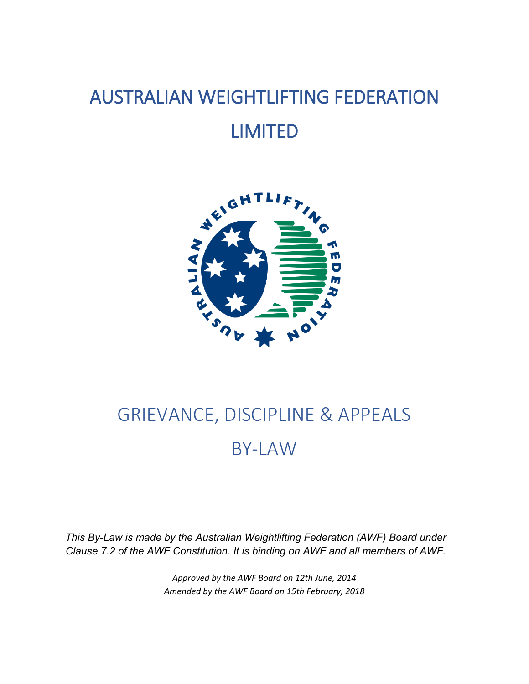# AUSTRALIAN WEIGHTLIFTING FEDERATION LIMITED



# GRIEVANCE, DISCIPLINE & APPEALS BY-LAW

*This By-Law is made by the Australian Weightlifting Federation (AWF) Board under Clause 7.2 of the AWF Constitution. It is binding on AWF and all members of AWF.*

> *Approved by the AWF Board on 12th June, 2014 Amended by the AWF Board on 15th February, 2018*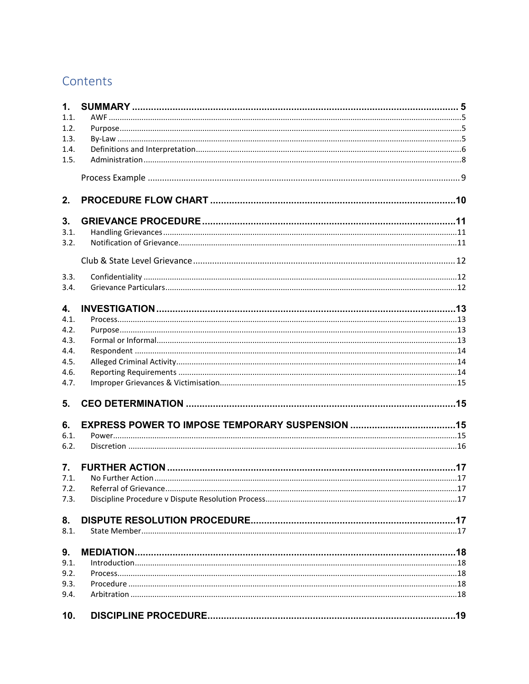# Contents

| 1.               |  |
|------------------|--|
| 1.1.             |  |
| 1.2.             |  |
| 1.3.             |  |
| 1.4.             |  |
| 1.5.             |  |
|                  |  |
| 2.               |  |
| 3.               |  |
| 3.1.             |  |
| 3.2.             |  |
|                  |  |
| 3.3.             |  |
| 3.4.             |  |
| 4.               |  |
| 4.1.             |  |
| 4.2.             |  |
| 4.3.             |  |
| 4.4.             |  |
| 4.5.             |  |
| 4.6.             |  |
| 4.7.             |  |
| 5.               |  |
| 6.               |  |
| 6.1.             |  |
| 6.2.             |  |
|                  |  |
| $\overline{7}$ . |  |
| 7.1.             |  |
| 7.2.             |  |
| 7.3.             |  |
| 8.               |  |
| 8.1.             |  |
| 9.               |  |
| 9.1.             |  |
| 9.2.             |  |
| 9.3.             |  |
| 9.4.             |  |
| 10.              |  |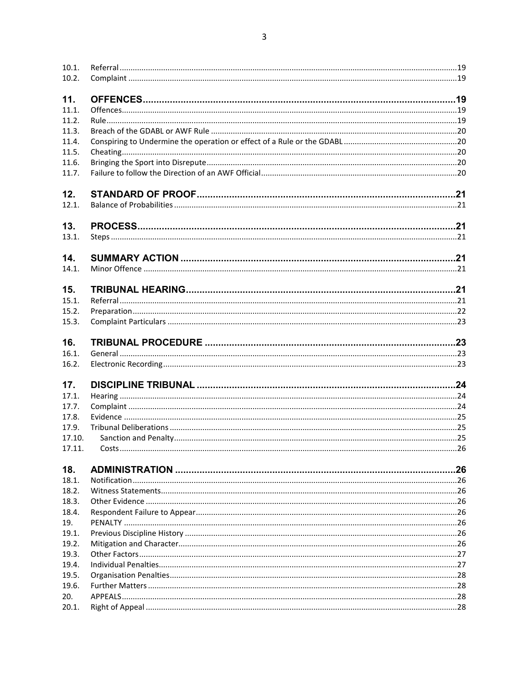| 10.1.  |  |
|--------|--|
| 10.2.  |  |
| 11.    |  |
| 11.1.  |  |
| 11.2.  |  |
| 11.3.  |  |
| 11.4.  |  |
| 11.5.  |  |
| 11.6.  |  |
| 11.7.  |  |
| 12.    |  |
| 12.1.  |  |
| 13.    |  |
| 13.1.  |  |
| 14.    |  |
| 14.1.  |  |
| 15.    |  |
| 15.1.  |  |
| 15.2.  |  |
| 15.3.  |  |
| 16.    |  |
| 16.1.  |  |
| 16.2.  |  |
| 17.    |  |
| 17.1.  |  |
| 17.7.  |  |
| 17.8.  |  |
| 17.9.  |  |
| 17.10. |  |
| 17.11. |  |
| 18.    |  |
| 18.1.  |  |
| 18.2.  |  |
| 18.3.  |  |
| 18.4.  |  |
| 19.    |  |
| 19.1.  |  |
| 19.2.  |  |
| 19.3.  |  |
| 19.4.  |  |
| 19.5.  |  |
| 19.6.  |  |
| 20.    |  |
| 20.1.  |  |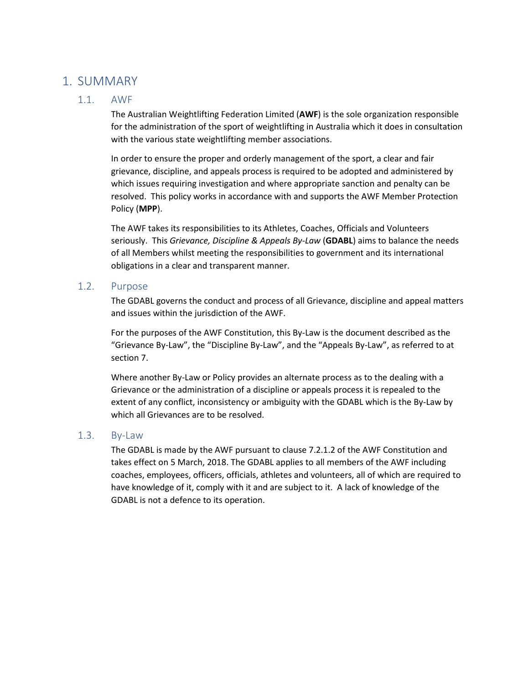## <span id="page-4-1"></span><span id="page-4-0"></span>1. SUMMARY

#### 1.1. AWF

The Australian Weightlifting Federation Limited (**AWF**) is the sole organization responsible for the administration of the sport of weightlifting in Australia which it does in consultation with the various state weightlifting member associations.

In order to ensure the proper and orderly management of the sport, a clear and fair grievance, discipline, and appeals process is required to be adopted and administered by which issues requiring investigation and where appropriate sanction and penalty can be resolved. This policy works in accordance with and supports the AWF Member Protection Policy (**MPP**).

The AWF takes its responsibilities to its Athletes, Coaches, Officials and Volunteers seriously. This *Grievance, Discipline & Appeals By-Law* (**GDABL**) aims to balance the needs of all Members whilst meeting the responsibilities to government and its international obligations in a clear and transparent manner.

#### <span id="page-4-2"></span>1.2. Purpose

The GDABL governs the conduct and process of all Grievance, discipline and appeal matters and issues within the jurisdiction of the AWF.

For the purposes of the AWF Constitution, this By-Law is the document described as the "Grievance By-Law", the "Discipline By-Law", and the "Appeals By-Law", as referred to at section 7.

Where another By-Law or Policy provides an alternate process as to the dealing with a Grievance or the administration of a discipline or appeals process it is repealed to the extent of any conflict, inconsistency or ambiguity with the GDABL which is the By-Law by which all Grievances are to be resolved.

#### <span id="page-4-3"></span>1.3. By-Law

The GDABL is made by the AWF pursuant to clause 7.2.1.2 of the AWF Constitution and takes effect on 5 March, 2018. The GDABL applies to all members of the AWF including coaches, employees, officers, officials, athletes and volunteers, all of which are required to have knowledge of it, comply with it and are subject to it. A lack of knowledge of the GDABL is not a defence to its operation.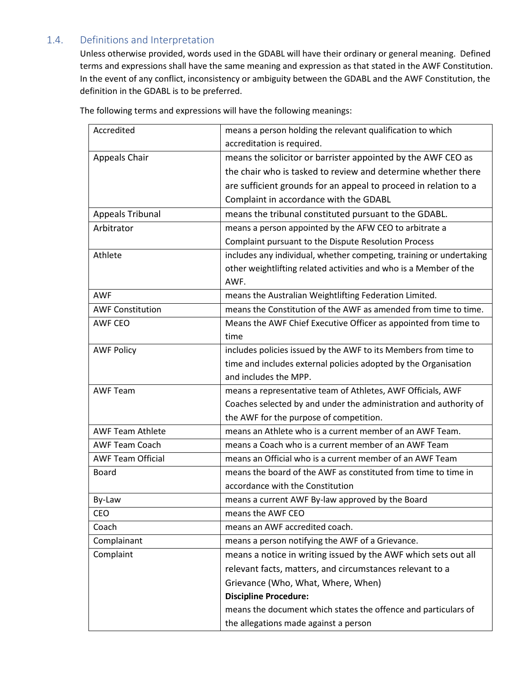## <span id="page-5-0"></span>1.4. Definitions and Interpretation

Unless otherwise provided, words used in the GDABL will have their ordinary or general meaning. Defined terms and expressions shall have the same meaning and expression as that stated in the AWF Constitution. In the event of any conflict, inconsistency or ambiguity between the GDABL and the AWF Constitution, the definition in the GDABL is to be preferred.

| Accredited               | means a person holding the relevant qualification to which          |
|--------------------------|---------------------------------------------------------------------|
|                          | accreditation is required.                                          |
| <b>Appeals Chair</b>     | means the solicitor or barrister appointed by the AWF CEO as        |
|                          | the chair who is tasked to review and determine whether there       |
|                          | are sufficient grounds for an appeal to proceed in relation to a    |
|                          | Complaint in accordance with the GDABL                              |
| <b>Appeals Tribunal</b>  | means the tribunal constituted pursuant to the GDABL.               |
| Arbitrator               | means a person appointed by the AFW CEO to arbitrate a              |
|                          | Complaint pursuant to the Dispute Resolution Process                |
| Athlete                  | includes any individual, whether competing, training or undertaking |
|                          | other weightlifting related activities and who is a Member of the   |
|                          | AWF.                                                                |
| <b>AWF</b>               | means the Australian Weightlifting Federation Limited.              |
| <b>AWF Constitution</b>  | means the Constitution of the AWF as amended from time to time.     |
| <b>AWF CEO</b>           | Means the AWF Chief Executive Officer as appointed from time to     |
|                          | time                                                                |
| <b>AWF Policy</b>        | includes policies issued by the AWF to its Members from time to     |
|                          | time and includes external policies adopted by the Organisation     |
|                          | and includes the MPP.                                               |
| <b>AWF Team</b>          | means a representative team of Athletes, AWF Officials, AWF         |
|                          | Coaches selected by and under the administration and authority of   |
|                          | the AWF for the purpose of competition.                             |
| <b>AWF Team Athlete</b>  | means an Athlete who is a current member of an AWF Team.            |
| <b>AWF Team Coach</b>    | means a Coach who is a current member of an AWF Team                |
| <b>AWF Team Official</b> | means an Official who is a current member of an AWF Team            |
| Board                    | means the board of the AWF as constituted from time to time in      |
|                          | accordance with the Constitution                                    |
| By-Law                   | means a current AWF By-law approved by the Board                    |
| CEO                      | means the AWF CEO                                                   |
| Coach                    | means an AWF accredited coach.                                      |
| Complainant              | means a person notifying the AWF of a Grievance.                    |
| Complaint                | means a notice in writing issued by the AWF which sets out all      |
|                          | relevant facts, matters, and circumstances relevant to a            |
|                          | Grievance (Who, What, Where, When)                                  |
|                          | <b>Discipline Procedure:</b>                                        |
|                          | means the document which states the offence and particulars of      |
|                          | the allegations made against a person                               |

The following terms and expressions will have the following meanings: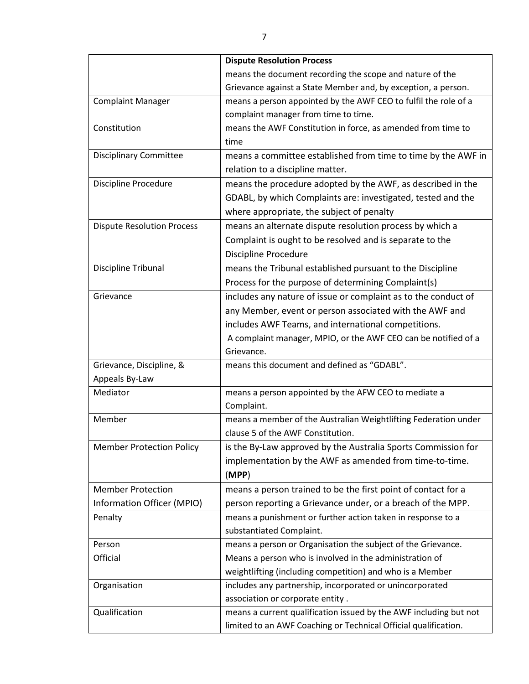|                                   | <b>Dispute Resolution Process</b>                                 |
|-----------------------------------|-------------------------------------------------------------------|
|                                   | means the document recording the scope and nature of the          |
|                                   | Grievance against a State Member and, by exception, a person.     |
| <b>Complaint Manager</b>          | means a person appointed by the AWF CEO to fulfil the role of a   |
|                                   | complaint manager from time to time.                              |
| Constitution                      | means the AWF Constitution in force, as amended from time to      |
|                                   | time                                                              |
| <b>Disciplinary Committee</b>     | means a committee established from time to time by the AWF in     |
|                                   | relation to a discipline matter.                                  |
| <b>Discipline Procedure</b>       | means the procedure adopted by the AWF, as described in the       |
|                                   | GDABL, by which Complaints are: investigated, tested and the      |
|                                   | where appropriate, the subject of penalty                         |
| <b>Dispute Resolution Process</b> | means an alternate dispute resolution process by which a          |
|                                   | Complaint is ought to be resolved and is separate to the          |
|                                   | <b>Discipline Procedure</b>                                       |
| Discipline Tribunal               | means the Tribunal established pursuant to the Discipline         |
|                                   | Process for the purpose of determining Complaint(s)               |
| Grievance                         | includes any nature of issue or complaint as to the conduct of    |
|                                   | any Member, event or person associated with the AWF and           |
|                                   | includes AWF Teams, and international competitions.               |
|                                   | A complaint manager, MPIO, or the AWF CEO can be notified of a    |
|                                   | Grievance.                                                        |
| Grievance, Discipline, &          | means this document and defined as "GDABL".                       |
| Appeals By-Law                    |                                                                   |
| Mediator                          | means a person appointed by the AFW CEO to mediate a              |
|                                   | Complaint.                                                        |
| Member                            | means a member of the Australian Weightlifting Federation under   |
|                                   | clause 5 of the AWF Constitution.                                 |
| <b>Member Protection Policy</b>   | is the By-Law approved by the Australia Sports Commission for     |
|                                   | implementation by the AWF as amended from time-to-time.           |
|                                   | (MPP)                                                             |
| <b>Member Protection</b>          | means a person trained to be the first point of contact for a     |
| Information Officer (MPIO)        | person reporting a Grievance under, or a breach of the MPP.       |
| Penalty                           | means a punishment or further action taken in response to a       |
|                                   | substantiated Complaint.                                          |
| Person                            | means a person or Organisation the subject of the Grievance.      |
| Official                          | Means a person who is involved in the administration of           |
|                                   | weightlifting (including competition) and who is a Member         |
| Organisation                      | includes any partnership, incorporated or unincorporated          |
|                                   | association or corporate entity.                                  |
| Qualification                     | means a current qualification issued by the AWF including but not |
|                                   | limited to an AWF Coaching or Technical Official qualification.   |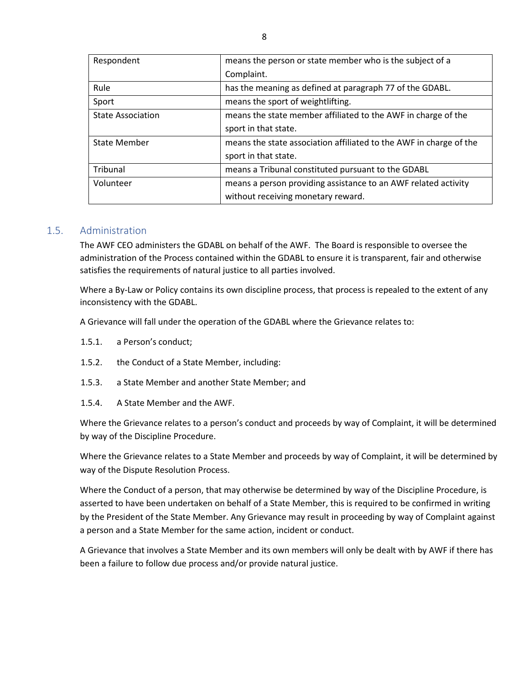| Respondent               | means the person or state member who is the subject of a           |
|--------------------------|--------------------------------------------------------------------|
|                          | Complaint.                                                         |
| Rule                     | has the meaning as defined at paragraph 77 of the GDABL.           |
| Sport                    | means the sport of weightlifting.                                  |
| <b>State Association</b> | means the state member affiliated to the AWF in charge of the      |
|                          | sport in that state.                                               |
| <b>State Member</b>      | means the state association affiliated to the AWF in charge of the |
|                          | sport in that state.                                               |
| Tribunal                 | means a Tribunal constituted pursuant to the GDABL                 |
| Volunteer                | means a person providing assistance to an AWF related activity     |
|                          | without receiving monetary reward.                                 |

#### <span id="page-7-0"></span>1.5. Administration

The AWF CEO administers the GDABL on behalf of the AWF. The Board is responsible to oversee the administration of the Process contained within the GDABL to ensure it is transparent, fair and otherwise satisfies the requirements of natural justice to all parties involved.

Where a By-Law or Policy contains its own discipline process, that process is repealed to the extent of any inconsistency with the GDABL.

A Grievance will fall under the operation of the GDABL where the Grievance relates to:

- 1.5.1. a Person's conduct;
- 1.5.2. the Conduct of a State Member, including:
- 1.5.3. a State Member and another State Member; and
- 1.5.4. A State Member and the AWF.

Where the Grievance relates to a person's conduct and proceeds by way of Complaint, it will be determined by way of the Discipline Procedure.

Where the Grievance relates to a State Member and proceeds by way of Complaint, it will be determined by way of the Dispute Resolution Process.

Where the Conduct of a person, that may otherwise be determined by way of the Discipline Procedure, is asserted to have been undertaken on behalf of a State Member, this is required to be confirmed in writing by the President of the State Member. Any Grievance may result in proceeding by way of Complaint against a person and a State Member for the same action, incident or conduct.

A Grievance that involves a State Member and its own members will only be dealt with by AWF if there has been a failure to follow due process and/or provide natural justice.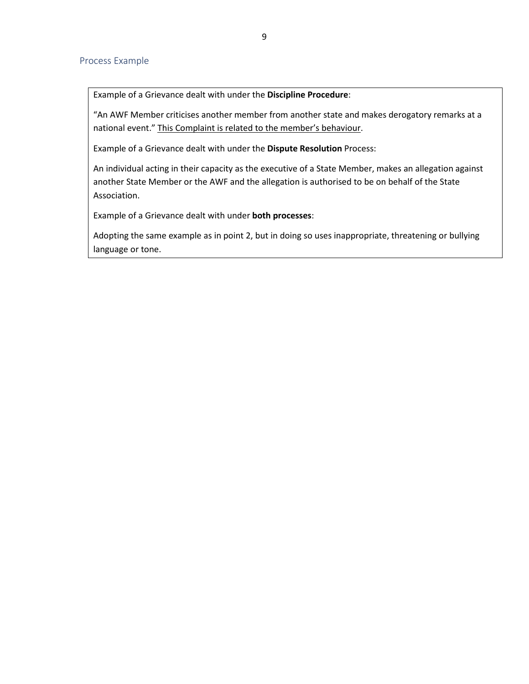#### <span id="page-8-0"></span>Process Example

Example of a Grievance dealt with under the **Discipline Procedure**:

"An AWF Member criticises another member from another state and makes derogatory remarks at a national event." This Complaint is related to the member's behaviour.

Example of a Grievance dealt with under the **Dispute Resolution** Process:

An individual acting in their capacity as the executive of a State Member, makes an allegation against another State Member or the AWF and the allegation is authorised to be on behalf of the State Association.

Example of a Grievance dealt with under **both processes**:

Adopting the same example as in point 2, but in doing so uses inappropriate, threatening or bullying language or tone.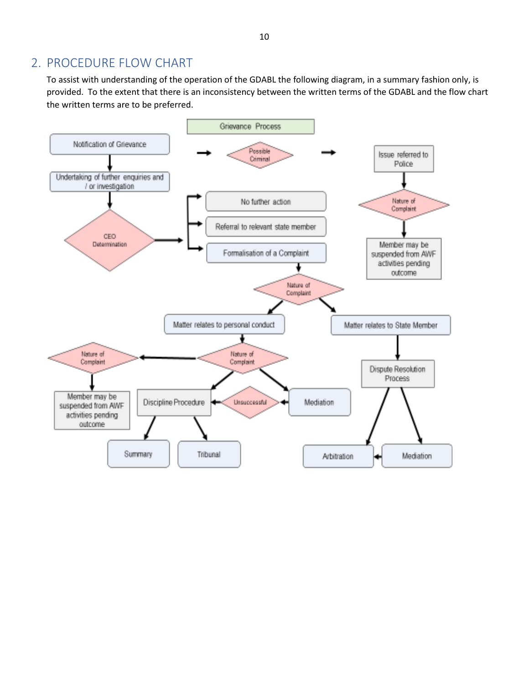# <span id="page-9-0"></span>2. PROCEDURE FLOW CHART

To assist with understanding of the operation of the GDABL the following diagram, in a summary fashion only, is provided. To the extent that there is an inconsistency between the written terms of the GDABL and the flow chart the written terms are to be preferred.

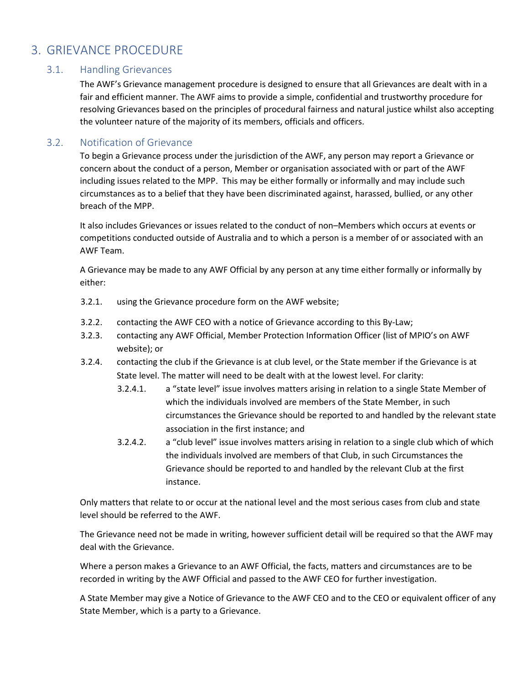# <span id="page-10-1"></span><span id="page-10-0"></span>3. GRIEVANCE PROCEDURE

#### 3.1. Handling Grievances

The AWF's Grievance management procedure is designed to ensure that all Grievances are dealt with in a fair and efficient manner. The AWF aims to provide a simple, confidential and trustworthy procedure for resolving Grievances based on the principles of procedural fairness and natural justice whilst also accepting the volunteer nature of the majority of its members, officials and officers.

#### <span id="page-10-2"></span>3.2. Notification of Grievance

To begin a Grievance process under the jurisdiction of the AWF, any person may report a Grievance or concern about the conduct of a person, Member or organisation associated with or part of the AWF including issues related to the MPP. This may be either formally or informally and may include such circumstances as to a belief that they have been discriminated against, harassed, bullied, or any other breach of the MPP.

It also includes Grievances or issues related to the conduct of non–Members which occurs at events or competitions conducted outside of Australia and to which a person is a member of or associated with an AWF Team.

A Grievance may be made to any AWF Official by any person at any time either formally or informally by either:

- 3.2.1. using the Grievance procedure form on the AWF website;
- 3.2.2. contacting the AWF CEO with a notice of Grievance according to this By-Law;
- 3.2.3. contacting any AWF Official, Member Protection Information Officer (list of MPIO's on AWF website); or
- 3.2.4. contacting the club if the Grievance is at club level, or the State member if the Grievance is at State level. The matter will need to be dealt with at the lowest level. For clarity:
	- 3.2.4.1. a "state level" issue involves matters arising in relation to a single State Member of which the individuals involved are members of the State Member, in such circumstances the Grievance should be reported to and handled by the relevant state association in the first instance; and
	- 3.2.4.2. a "club level" issue involves matters arising in relation to a single club which of which the individuals involved are members of that Club, in such Circumstances the Grievance should be reported to and handled by the relevant Club at the first instance.

Only matters that relate to or occur at the national level and the most serious cases from club and state level should be referred to the AWF.

The Grievance need not be made in writing, however sufficient detail will be required so that the AWF may deal with the Grievance.

Where a person makes a Grievance to an AWF Official, the facts, matters and circumstances are to be recorded in writing by the AWF Official and passed to the AWF CEO for further investigation.

A State Member may give a Notice of Grievance to the AWF CEO and to the CEO or equivalent officer of any State Member, which is a party to a Grievance.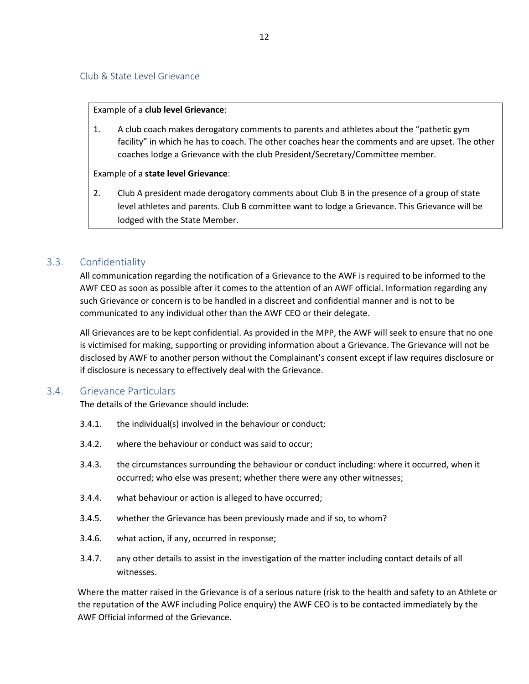#### <span id="page-11-0"></span>Example of a **club level Grievance**:

1. A club coach makes derogatory comments to parents and athletes about the "pathetic gym facility" in which he has to coach. The other coaches hear the comments and are upset. The other coaches lodge a Grievance with the club President/Secretary/Committee member.

#### Example of a **state level Grievance**:

2. Club A president made derogatory comments about Club B in the presence of a group of state level athletes and parents. Club B committee want to lodge a Grievance. This Grievance will be lodged with the State Member.

#### <span id="page-11-1"></span>3.3. Confidentiality

All communication regarding the notification of a Grievance to the AWF is required to be informed to the AWF CEO as soon as possible after it comes to the attention of an AWF official. Information regarding any such Grievance or concern is to be handled in a discreet and confidential manner and is not to be communicated to any individual other than the AWF CEO or their delegate.

All Grievances are to be kept confidential. As provided in the MPP, the AWF will seek to ensure that no one is victimised for making, supporting or providing information about a Grievance. The Grievance will not be disclosed by AWF to another person without the Complainant's consent except if law requires disclosure or if disclosure is necessary to effectively deal with the Grievance.

#### <span id="page-11-2"></span>3.4. Grievance Particulars

The details of the Grievance should include:

- 3.4.1. the individual(s) involved in the behaviour or conduct;
- 3.4.2. where the behaviour or conduct was said to occur;
- 3.4.3. the circumstances surrounding the behaviour or conduct including: where it occurred, when it occurred; who else was present; whether there were any other witnesses;
- 3.4.4. what behaviour or action is alleged to have occurred;
- 3.4.5. whether the Grievance has been previously made and if so, to whom?
- 3.4.6. what action, if any, occurred in response;
- 3.4.7. any other details to assist in the investigation of the matter including contact details of all witnesses.

Where the matter raised in the Grievance is of a serious nature (risk to the health and safety to an Athlete or the reputation of the AWF including Police enquiry) the AWF CEO is to be contacted immediately by the AWF Official informed of the Grievance.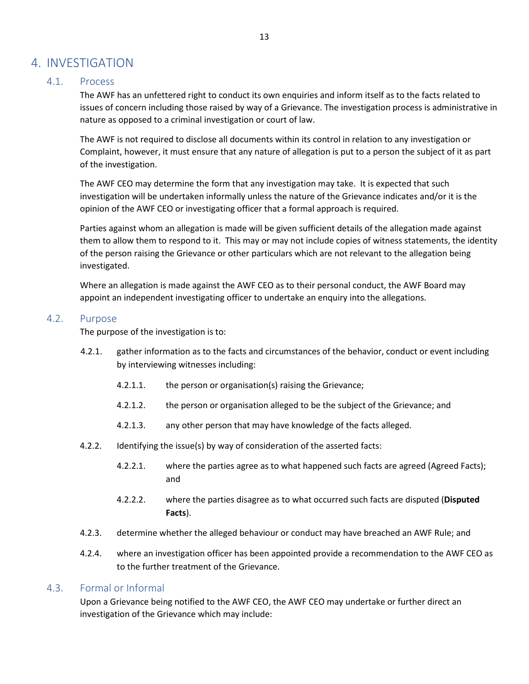# <span id="page-12-0"></span>4. INVESTIGATION

#### <span id="page-12-1"></span>4.1. Process

The AWF has an unfettered right to conduct its own enquiries and inform itself as to the facts related to issues of concern including those raised by way of a Grievance. The investigation process is administrative in nature as opposed to a criminal investigation or court of law.

The AWF is not required to disclose all documents within its control in relation to any investigation or Complaint, however, it must ensure that any nature of allegation is put to a person the subject of it as part of the investigation.

The AWF CEO may determine the form that any investigation may take. It is expected that such investigation will be undertaken informally unless the nature of the Grievance indicates and/or it is the opinion of the AWF CEO or investigating officer that a formal approach is required.

Parties against whom an allegation is made will be given sufficient details of the allegation made against them to allow them to respond to it. This may or may not include copies of witness statements, the identity of the person raising the Grievance or other particulars which are not relevant to the allegation being investigated.

Where an allegation is made against the AWF CEO as to their personal conduct, the AWF Board may appoint an independent investigating officer to undertake an enquiry into the allegations.

#### <span id="page-12-2"></span>4.2. Purpose

The purpose of the investigation is to:

- 4.2.1. gather information as to the facts and circumstances of the behavior, conduct or event including by interviewing witnesses including:
	- 4.2.1.1. the person or organisation(s) raising the Grievance;
	- 4.2.1.2. the person or organisation alleged to be the subject of the Grievance; and
	- 4.2.1.3. any other person that may have knowledge of the facts alleged.
- 4.2.2. Identifying the issue(s) by way of consideration of the asserted facts:
	- 4.2.2.1. where the parties agree as to what happened such facts are agreed (Agreed Facts); and
	- 4.2.2.2. where the parties disagree as to what occurred such facts are disputed (**Disputed Facts**).
- 4.2.3. determine whether the alleged behaviour or conduct may have breached an AWF Rule; and
- 4.2.4. where an investigation officer has been appointed provide a recommendation to the AWF CEO as to the further treatment of the Grievance.

#### <span id="page-12-3"></span>4.3. Formal or Informal

Upon a Grievance being notified to the AWF CEO, the AWF CEO may undertake or further direct an investigation of the Grievance which may include: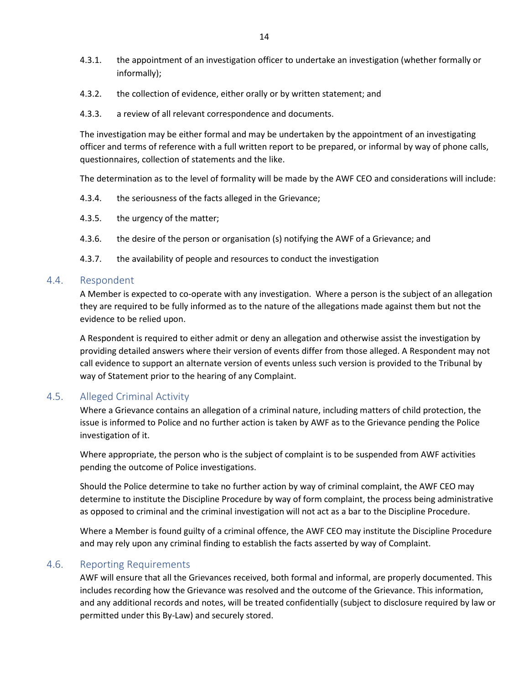- 4.3.1. the appointment of an investigation officer to undertake an investigation (whether formally or informally);
- 4.3.2. the collection of evidence, either orally or by written statement; and
- 4.3.3. a review of all relevant correspondence and documents.

The investigation may be either formal and may be undertaken by the appointment of an investigating officer and terms of reference with a full written report to be prepared, or informal by way of phone calls, questionnaires, collection of statements and the like.

The determination as to the level of formality will be made by the AWF CEO and considerations will include:

- 4.3.4. the seriousness of the facts alleged in the Grievance;
- 4.3.5. the urgency of the matter;
- 4.3.6. the desire of the person or organisation (s) notifying the AWF of a Grievance; and
- 4.3.7. the availability of people and resources to conduct the investigation

#### <span id="page-13-0"></span>4.4. Respondent

A Member is expected to co-operate with any investigation. Where a person is the subject of an allegation they are required to be fully informed as to the nature of the allegations made against them but not the evidence to be relied upon.

A Respondent is required to either admit or deny an allegation and otherwise assist the investigation by providing detailed answers where their version of events differ from those alleged. A Respondent may not call evidence to support an alternate version of events unless such version is provided to the Tribunal by way of Statement prior to the hearing of any Complaint.

#### <span id="page-13-1"></span>4.5. Alleged Criminal Activity

Where a Grievance contains an allegation of a criminal nature, including matters of child protection, the issue is informed to Police and no further action is taken by AWF as to the Grievance pending the Police investigation of it.

Where appropriate, the person who is the subject of complaint is to be suspended from AWF activities pending the outcome of Police investigations.

Should the Police determine to take no further action by way of criminal complaint, the AWF CEO may determine to institute the Discipline Procedure by way of form complaint, the process being administrative as opposed to criminal and the criminal investigation will not act as a bar to the Discipline Procedure.

Where a Member is found guilty of a criminal offence, the AWF CEO may institute the Discipline Procedure and may rely upon any criminal finding to establish the facts asserted by way of Complaint.

#### <span id="page-13-2"></span>4.6. Reporting Requirements

AWF will ensure that all the Grievances received, both formal and informal, are properly documented. This includes recording how the Grievance was resolved and the outcome of the Grievance. This information, and any additional records and notes, will be treated confidentially (subject to disclosure required by law or permitted under this By-Law) and securely stored.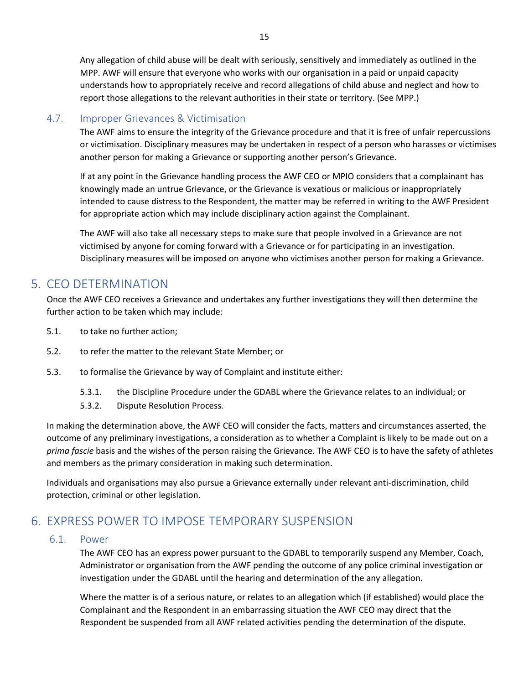Any allegation of child abuse will be dealt with seriously, sensitively and immediately as outlined in the MPP. AWF will ensure that everyone who works with our organisation in a paid or unpaid capacity understands how to appropriately receive and record allegations of child abuse and neglect and how to report those allegations to the relevant authorities in their state or territory. (See MPP.)

### <span id="page-14-0"></span>4.7. Improper Grievances & Victimisation

The AWF aims to ensure the integrity of the Grievance procedure and that it is free of unfair repercussions or victimisation. Disciplinary measures may be undertaken in respect of a person who harasses or victimises another person for making a Grievance or supporting another person's Grievance.

If at any point in the Grievance handling process the AWF CEO or MPIO considers that a complainant has knowingly made an untrue Grievance, or the Grievance is vexatious or malicious or inappropriately intended to cause distress to the Respondent, the matter may be referred in writing to the AWF President for appropriate action which may include disciplinary action against the Complainant.

The AWF will also take all necessary steps to make sure that people involved in a Grievance are not victimised by anyone for coming forward with a Grievance or for participating in an investigation. Disciplinary measures will be imposed on anyone who victimises another person for making a Grievance.

# <span id="page-14-1"></span>5. CEO DETERMINATION

Once the AWF CEO receives a Grievance and undertakes any further investigations they will then determine the further action to be taken which may include:

- 5.1. to take no further action;
- 5.2. to refer the matter to the relevant State Member; or
- 5.3. to formalise the Grievance by way of Complaint and institute either:
	- 5.3.1. the Discipline Procedure under the GDABL where the Grievance relates to an individual; or
	- 5.3.2. Dispute Resolution Process.

In making the determination above, the AWF CEO will consider the facts, matters and circumstances asserted, the outcome of any preliminary investigations, a consideration as to whether a Complaint is likely to be made out on a *prima fascie* basis and the wishes of the person raising the Grievance. The AWF CEO is to have the safety of athletes and members as the primary consideration in making such determination.

Individuals and organisations may also pursue a Grievance externally under relevant anti-discrimination, child protection, criminal or other legislation.

# <span id="page-14-3"></span><span id="page-14-2"></span>6. EXPRESS POWER TO IMPOSE TEMPORARY SUSPENSION

#### 6.1. Power

The AWF CEO has an express power pursuant to the GDABL to temporarily suspend any Member, Coach, Administrator or organisation from the AWF pending the outcome of any police criminal investigation or investigation under the GDABL until the hearing and determination of the any allegation.

Where the matter is of a serious nature, or relates to an allegation which (if established) would place the Complainant and the Respondent in an embarrassing situation the AWF CEO may direct that the Respondent be suspended from all AWF related activities pending the determination of the dispute.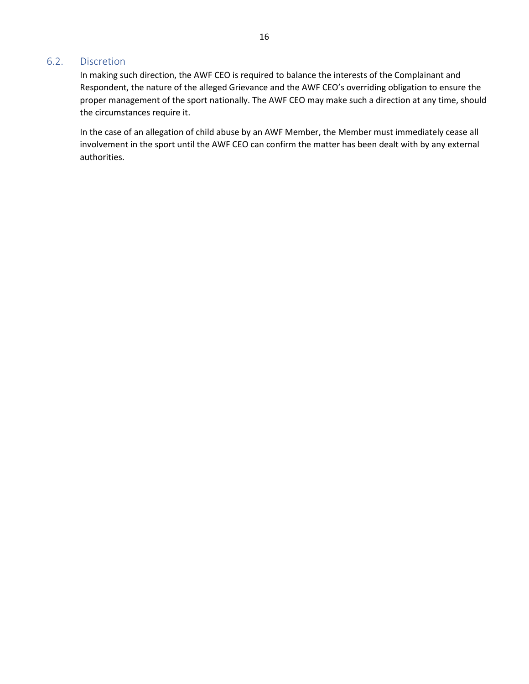#### <span id="page-15-0"></span>6.2. Discretion

In making such direction, the AWF CEO is required to balance the interests of the Complainant and Respondent, the nature of the alleged Grievance and the AWF CEO's overriding obligation to ensure the proper management of the sport nationally. The AWF CEO may make such a direction at any time, should the circumstances require it.

In the case of an allegation of child abuse by an AWF Member, the Member must immediately cease all involvement in the sport until the AWF CEO can confirm the matter has been dealt with by any external authorities.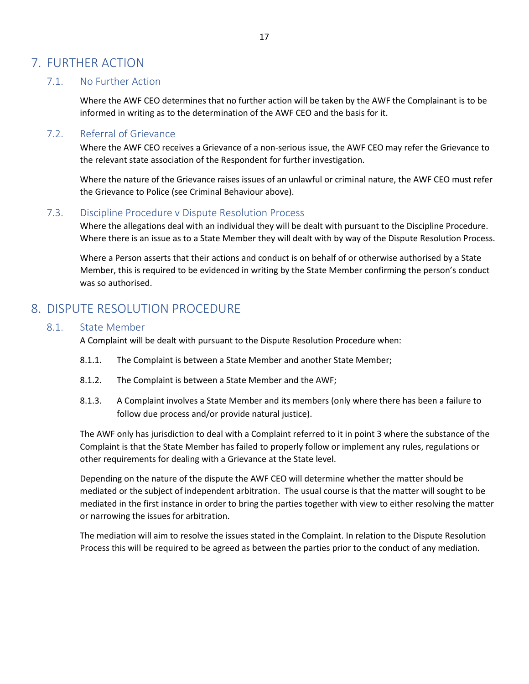# <span id="page-16-1"></span><span id="page-16-0"></span>7. FURTHER ACTION

#### 7.1. No Further Action

Where the AWF CEO determines that no further action will be taken by the AWF the Complainant is to be informed in writing as to the determination of the AWF CEO and the basis for it.

#### <span id="page-16-2"></span>7.2. Referral of Grievance

Where the AWF CEO receives a Grievance of a non-serious issue, the AWF CEO may refer the Grievance to the relevant state association of the Respondent for further investigation.

Where the nature of the Grievance raises issues of an unlawful or criminal nature, the AWF CEO must refer the Grievance to Police (see Criminal Behaviour above).

#### <span id="page-16-3"></span>7.3. Discipline Procedure v Dispute Resolution Process

Where the allegations deal with an individual they will be dealt with pursuant to the Discipline Procedure. Where there is an issue as to a State Member they will dealt with by way of the Dispute Resolution Process.

Where a Person asserts that their actions and conduct is on behalf of or otherwise authorised by a State Member, this is required to be evidenced in writing by the State Member confirming the person's conduct was so authorised.

# <span id="page-16-5"></span><span id="page-16-4"></span>8. DISPUTE RESOLUTION PROCEDURE

#### 8.1. State Member

A Complaint will be dealt with pursuant to the Dispute Resolution Procedure when:

- 8.1.1. The Complaint is between a State Member and another State Member;
- 8.1.2. The Complaint is between a State Member and the AWF;
- 8.1.3. A Complaint involves a State Member and its members (only where there has been a failure to follow due process and/or provide natural justice).

The AWF only has jurisdiction to deal with a Complaint referred to it in point 3 where the substance of the Complaint is that the State Member has failed to properly follow or implement any rules, regulations or other requirements for dealing with a Grievance at the State level.

Depending on the nature of the dispute the AWF CEO will determine whether the matter should be mediated or the subject of independent arbitration. The usual course is that the matter will sought to be mediated in the first instance in order to bring the parties together with view to either resolving the matter or narrowing the issues for arbitration.

The mediation will aim to resolve the issues stated in the Complaint. In relation to the Dispute Resolution Process this will be required to be agreed as between the parties prior to the conduct of any mediation.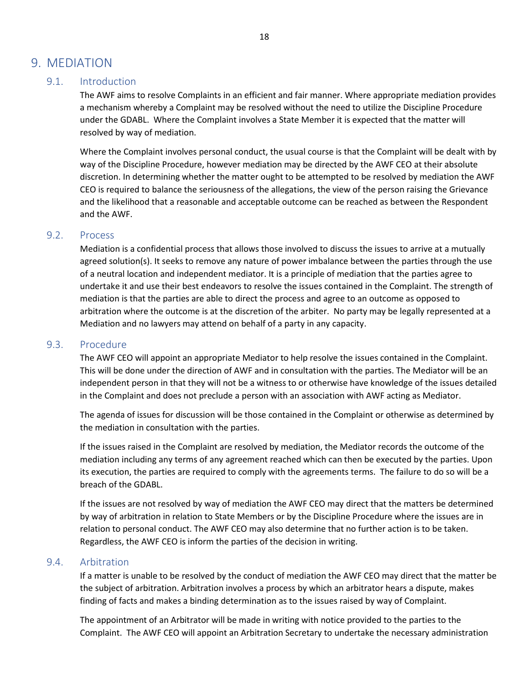# <span id="page-17-1"></span><span id="page-17-0"></span>9. MEDIATION

#### 9.1. Introduction

The AWF aims to resolve Complaints in an efficient and fair manner. Where appropriate mediation provides a mechanism whereby a Complaint may be resolved without the need to utilize the Discipline Procedure under the GDABL. Where the Complaint involves a State Member it is expected that the matter will resolved by way of mediation.

Where the Complaint involves personal conduct, the usual course is that the Complaint will be dealt with by way of the Discipline Procedure, however mediation may be directed by the AWF CEO at their absolute discretion. In determining whether the matter ought to be attempted to be resolved by mediation the AWF CEO is required to balance the seriousness of the allegations, the view of the person raising the Grievance and the likelihood that a reasonable and acceptable outcome can be reached as between the Respondent and the AWF.

#### <span id="page-17-2"></span>9.2. Process

Mediation is a confidential process that allows those involved to discuss the issues to arrive at a mutually agreed solution(s). It seeks to remove any nature of power imbalance between the parties through the use of a neutral location and independent mediator. It is a principle of mediation that the parties agree to undertake it and use their best endeavors to resolve the issues contained in the Complaint. The strength of mediation is that the parties are able to direct the process and agree to an outcome as opposed to arbitration where the outcome is at the discretion of the arbiter. No party may be legally represented at a Mediation and no lawyers may attend on behalf of a party in any capacity.

#### <span id="page-17-3"></span>9.3. Procedure

The AWF CEO will appoint an appropriate Mediator to help resolve the issues contained in the Complaint. This will be done under the direction of AWF and in consultation with the parties. The Mediator will be an independent person in that they will not be a witness to or otherwise have knowledge of the issues detailed in the Complaint and does not preclude a person with an association with AWF acting as Mediator.

The agenda of issues for discussion will be those contained in the Complaint or otherwise as determined by the mediation in consultation with the parties.

If the issues raised in the Complaint are resolved by mediation, the Mediator records the outcome of the mediation including any terms of any agreement reached which can then be executed by the parties. Upon its execution, the parties are required to comply with the agreements terms. The failure to do so will be a breach of the GDABL.

If the issues are not resolved by way of mediation the AWF CEO may direct that the matters be determined by way of arbitration in relation to State Members or by the Discipline Procedure where the issues are in relation to personal conduct. The AWF CEO may also determine that no further action is to be taken. Regardless, the AWF CEO is inform the parties of the decision in writing.

#### <span id="page-17-4"></span>9.4. Arbitration

If a matter is unable to be resolved by the conduct of mediation the AWF CEO may direct that the matter be the subject of arbitration. Arbitration involves a process by which an arbitrator hears a dispute, makes finding of facts and makes a binding determination as to the issues raised by way of Complaint.

The appointment of an Arbitrator will be made in writing with notice provided to the parties to the Complaint. The AWF CEO will appoint an Arbitration Secretary to undertake the necessary administration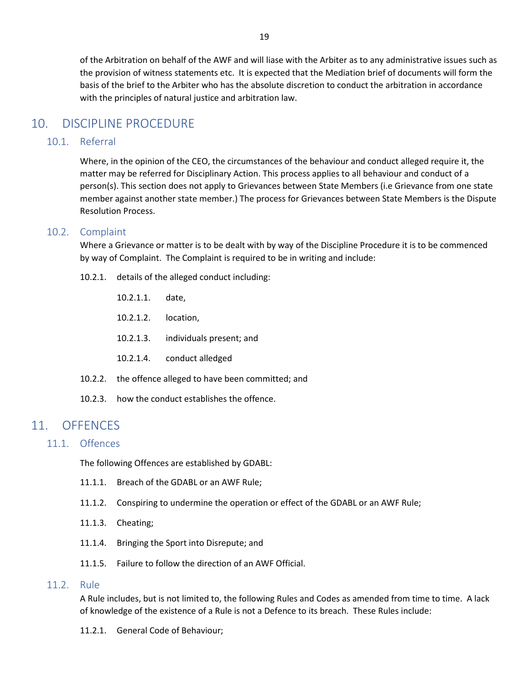of the Arbitration on behalf of the AWF and will liase with the Arbiter as to any administrative issues such as the provision of witness statements etc. It is expected that the Mediation brief of documents will form the basis of the brief to the Arbiter who has the absolute discretion to conduct the arbitration in accordance with the principles of natural justice and arbitration law.

# <span id="page-18-0"></span>10. DISCIPLINE PROCEDURE

#### <span id="page-18-1"></span>10.1. Referral

Where, in the opinion of the CEO, the circumstances of the behaviour and conduct alleged require it, the matter may be referred for Disciplinary Action. This process applies to all behaviour and conduct of a person(s). This section does not apply to Grievances between State Members (i.e Grievance from one state member against another state member.) The process for Grievances between State Members is the Dispute Resolution Process.

#### <span id="page-18-2"></span>10.2. Complaint

Where a Grievance or matter is to be dealt with by way of the Discipline Procedure it is to be commenced by way of Complaint. The Complaint is required to be in writing and include:

- 10.2.1. details of the alleged conduct including:
	- 10.2.1.1. date,
	- 10.2.1.2. location,
	- 10.2.1.3. individuals present; and
	- 10.2.1.4. conduct alledged
- 10.2.2. the offence alleged to have been committed; and
- 10.2.3. how the conduct establishes the offence.

## <span id="page-18-4"></span><span id="page-18-3"></span>11. OFFENCES

11.1. Offences

The following Offences are established by GDABL:

- 11.1.1. Breach of the GDABL or an AWF Rule;
- 11.1.2. Conspiring to undermine the operation or effect of the GDABL or an AWF Rule;
- 11.1.3. Cheating;
- 11.1.4. Bringing the Sport into Disrepute; and
- 11.1.5. Failure to follow the direction of an AWF Official.

#### <span id="page-18-6"></span><span id="page-18-5"></span>11.2. Rule

A Rule includes, but is not limited to, the following Rules and Codes as amended from time to time. A lack of knowledge of the existence of a Rule is not a Defence to its breach. These Rules include:

11.2.1. General Code of Behaviour;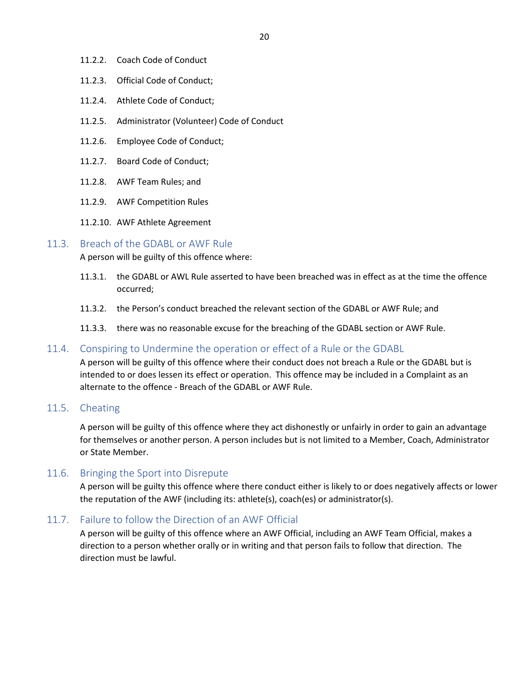- 11.2.2. Coach Code of Conduct
- 11.2.3. Official Code of Conduct;
- 11.2.4. Athlete Code of Conduct;
- 11.2.5. Administrator (Volunteer) Code of Conduct
- 11.2.6. Employee Code of Conduct;
- 11.2.7. Board Code of Conduct;
- 11.2.8. AWF Team Rules; and
- 11.2.9. AWF Competition Rules
- 11.2.10. AWF Athlete Agreement

#### <span id="page-19-0"></span>11.3. Breach of the GDABL or AWF Rule

A person will be guilty of this offence where:

- 11.3.1. the GDABL or AWL Rule asserted to have been breached was in effect as at the time the offence occurred;
- 11.3.2. the Person's conduct breached the relevant section of the GDABL or AWF Rule; and
- 11.3.3. there was no reasonable excuse for the breaching of the GDABL section or AWF Rule.

#### <span id="page-19-1"></span>11.4. Conspiring to Undermine the operation or effect of a Rule or the GDABL

A person will be guilty of this offence where their conduct does not breach a Rule or the GDABL but is intended to or does lessen its effect or operation. This offence may be included in a Complaint as an alternate to the offence - Breach of the GDABL or AWF Rule.

#### <span id="page-19-2"></span>11.5. Cheating

A person will be guilty of this offence where they act dishonestly or unfairly in order to gain an advantage for themselves or another person. A person includes but is not limited to a Member, Coach, Administrator or State Member.

#### <span id="page-19-3"></span>11.6. Bringing the Sport into Disrepute

A person will be guilty this offence where there conduct either is likely to or does negatively affects or lower the reputation of the AWF (including its: athlete(s), coach(es) or administrator(s).

#### <span id="page-19-4"></span>11.7. Failure to follow the Direction of an AWF Official

A person will be guilty of this offence where an AWF Official, including an AWF Team Official, makes a direction to a person whether orally or in writing and that person fails to follow that direction. The direction must be lawful.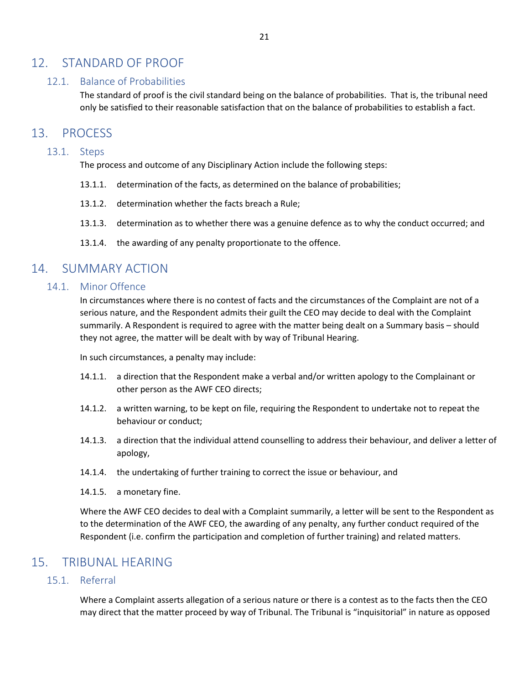## <span id="page-20-1"></span><span id="page-20-0"></span>12. STANDARD OF PROOF

### 12.1. Balance of Probabilities

The standard of proof is the civil standard being on the balance of probabilities. That is, the tribunal need only be satisfied to their reasonable satisfaction that on the balance of probabilities to establish a fact.

## <span id="page-20-3"></span><span id="page-20-2"></span>13. PROCESS

#### 13.1. Steps

The process and outcome of any Disciplinary Action include the following steps:

- 13.1.1. determination of the facts, as determined on the balance of probabilities;
- 13.1.2. determination whether the facts breach a Rule;
- 13.1.3. determination as to whether there was a genuine defence as to why the conduct occurred; and
- 13.1.4. the awarding of any penalty proportionate to the offence.

# <span id="page-20-5"></span><span id="page-20-4"></span>14. SUMMARY ACTION

#### 14.1. Minor Offence

In circumstances where there is no contest of facts and the circumstances of the Complaint are not of a serious nature, and the Respondent admits their guilt the CEO may decide to deal with the Complaint summarily. A Respondent is required to agree with the matter being dealt on a Summary basis – should they not agree, the matter will be dealt with by way of Tribunal Hearing.

In such circumstances, a penalty may include:

- 14.1.1. a direction that the Respondent make a verbal and/or written apology to the Complainant or other person as the AWF CEO directs;
- 14.1.2. a written warning, to be kept on file, requiring the Respondent to undertake not to repeat the behaviour or conduct;
- 14.1.3. a direction that the individual attend counselling to address their behaviour, and deliver a letter of apology,
- 14.1.4. the undertaking of further training to correct the issue or behaviour, and
- 14.1.5. a monetary fine.

Where the AWF CEO decides to deal with a Complaint summarily, a letter will be sent to the Respondent as to the determination of the AWF CEO, the awarding of any penalty, any further conduct required of the Respondent (i.e. confirm the participation and completion of further training) and related matters.

# <span id="page-20-7"></span><span id="page-20-6"></span>15. TRIBUNAL HEARING

#### 15.1. Referral

Where a Complaint asserts allegation of a serious nature or there is a contest as to the facts then the CEO may direct that the matter proceed by way of Tribunal. The Tribunal is "inquisitorial" in nature as opposed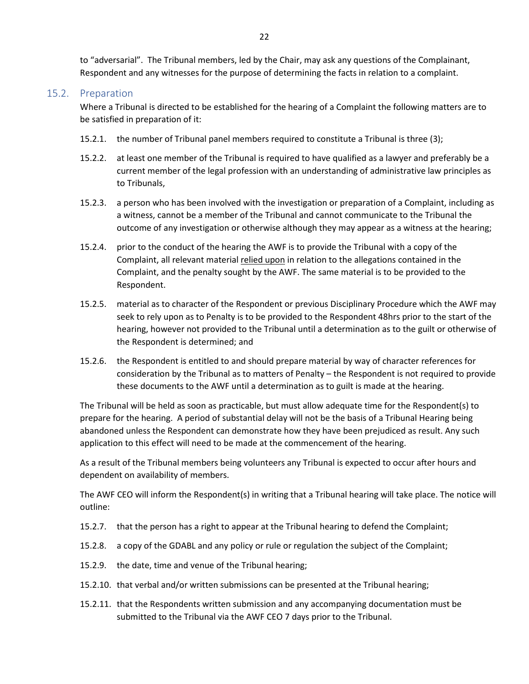to "adversarial". The Tribunal members, led by the Chair, may ask any questions of the Complainant, Respondent and any witnesses for the purpose of determining the facts in relation to a complaint.

#### <span id="page-21-0"></span>15.2. Preparation

Where a Tribunal is directed to be established for the hearing of a Complaint the following matters are to be satisfied in preparation of it:

- 15.2.1. the number of Tribunal panel members required to constitute a Tribunal is three (3);
- 15.2.2. at least one member of the Tribunal is required to have qualified as a lawyer and preferably be a current member of the legal profession with an understanding of administrative law principles as to Tribunals,
- 15.2.3. a person who has been involved with the investigation or preparation of a Complaint, including as a witness, cannot be a member of the Tribunal and cannot communicate to the Tribunal the outcome of any investigation or otherwise although they may appear as a witness at the hearing;
- 15.2.4. prior to the conduct of the hearing the AWF is to provide the Tribunal with a copy of the Complaint, all relevant material relied upon in relation to the allegations contained in the Complaint, and the penalty sought by the AWF. The same material is to be provided to the Respondent.
- 15.2.5. material as to character of the Respondent or previous Disciplinary Procedure which the AWF may seek to rely upon as to Penalty is to be provided to the Respondent 48hrs prior to the start of the hearing, however not provided to the Tribunal until a determination as to the guilt or otherwise of the Respondent is determined; and
- 15.2.6. the Respondent is entitled to and should prepare material by way of character references for consideration by the Tribunal as to matters of Penalty – the Respondent is not required to provide these documents to the AWF until a determination as to guilt is made at the hearing.

The Tribunal will be held as soon as practicable, but must allow adequate time for the Respondent(s) to prepare for the hearing. A period of substantial delay will not be the basis of a Tribunal Hearing being abandoned unless the Respondent can demonstrate how they have been prejudiced as result. Any such application to this effect will need to be made at the commencement of the hearing.

As a result of the Tribunal members being volunteers any Tribunal is expected to occur after hours and dependent on availability of members.

The AWF CEO will inform the Respondent(s) in writing that a Tribunal hearing will take place. The notice will outline:

- 15.2.7. that the person has a right to appear at the Tribunal hearing to defend the Complaint;
- 15.2.8. a copy of the GDABL and any policy or rule or regulation the subject of the Complaint;
- 15.2.9. the date, time and venue of the Tribunal hearing;
- 15.2.10. that verbal and/or written submissions can be presented at the Tribunal hearing;
- 15.2.11. that the Respondents written submission and any accompanying documentation must be submitted to the Tribunal via the AWF CEO 7 days prior to the Tribunal.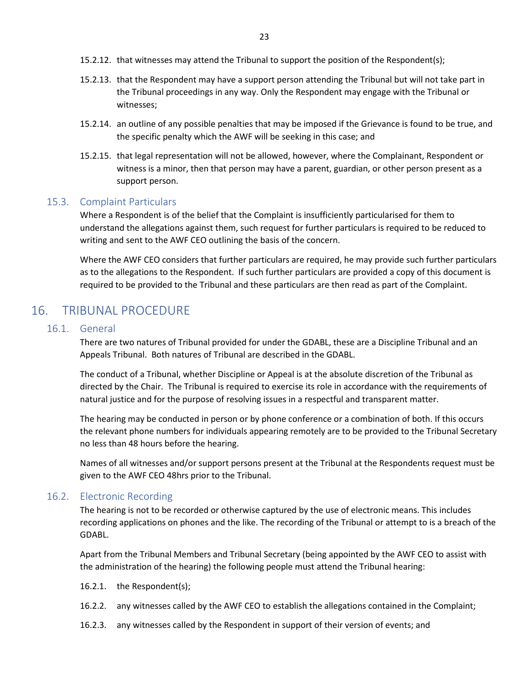- 15.2.12. that witnesses may attend the Tribunal to support the position of the Respondent(s);
- 15.2.13. that the Respondent may have a support person attending the Tribunal but will not take part in the Tribunal proceedings in any way. Only the Respondent may engage with the Tribunal or witnesses;
- 15.2.14. an outline of any possible penalties that may be imposed if the Grievance is found to be true, and the specific penalty which the AWF will be seeking in this case; and
- 15.2.15. that legal representation will not be allowed, however, where the Complainant, Respondent or witness is a minor, then that person may have a parent, guardian, or other person present as a support person.

## <span id="page-22-0"></span>15.3. Complaint Particulars

Where a Respondent is of the belief that the Complaint is insufficiently particularised for them to understand the allegations against them, such request for further particulars is required to be reduced to writing and sent to the AWF CEO outlining the basis of the concern.

Where the AWF CEO considers that further particulars are required, he may provide such further particulars as to the allegations to the Respondent. If such further particulars are provided a copy of this document is required to be provided to the Tribunal and these particulars are then read as part of the Complaint.

# <span id="page-22-2"></span><span id="page-22-1"></span>16. TRIBUNAL PROCEDURE

#### 16.1. General

There are two natures of Tribunal provided for under the GDABL, these are a Discipline Tribunal and an Appeals Tribunal. Both natures of Tribunal are described in the GDABL.

The conduct of a Tribunal, whether Discipline or Appeal is at the absolute discretion of the Tribunal as directed by the Chair. The Tribunal is required to exercise its role in accordance with the requirements of natural justice and for the purpose of resolving issues in a respectful and transparent matter.

The hearing may be conducted in person or by phone conference or a combination of both. If this occurs the relevant phone numbers for individuals appearing remotely are to be provided to the Tribunal Secretary no less than 48 hours before the hearing.

Names of all witnesses and/or support persons present at the Tribunal at the Respondents request must be given to the AWF CEO 48hrs prior to the Tribunal.

## <span id="page-22-3"></span>16.2. Electronic Recording

The hearing is not to be recorded or otherwise captured by the use of electronic means. This includes recording applications on phones and the like. The recording of the Tribunal or attempt to is a breach of the GDABL.

Apart from the Tribunal Members and Tribunal Secretary (being appointed by the AWF CEO to assist with the administration of the hearing) the following people must attend the Tribunal hearing:

- 16.2.1. the Respondent(s);
- 16.2.2. any witnesses called by the AWF CEO to establish the allegations contained in the Complaint;
- 16.2.3. any witnesses called by the Respondent in support of their version of events; and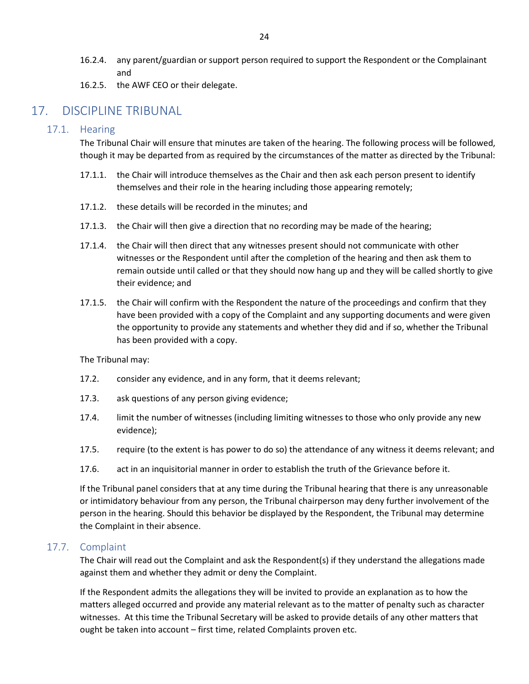- 16.2.4. any parent/guardian or support person required to support the Respondent or the Complainant and
- 16.2.5. the AWF CEO or their delegate.

# <span id="page-23-1"></span><span id="page-23-0"></span>17. DISCIPLINE TRIBUNAL

#### 17.1. Hearing

The Tribunal Chair will ensure that minutes are taken of the hearing. The following process will be followed, though it may be departed from as required by the circumstances of the matter as directed by the Tribunal:

- 17.1.1. the Chair will introduce themselves as the Chair and then ask each person present to identify themselves and their role in the hearing including those appearing remotely;
- 17.1.2. these details will be recorded in the minutes; and
- 17.1.3. the Chair will then give a direction that no recording may be made of the hearing;
- 17.1.4. the Chair will then direct that any witnesses present should not communicate with other witnesses or the Respondent until after the completion of the hearing and then ask them to remain outside until called or that they should now hang up and they will be called shortly to give their evidence; and
- 17.1.5. the Chair will confirm with the Respondent the nature of the proceedings and confirm that they have been provided with a copy of the Complaint and any supporting documents and were given the opportunity to provide any statements and whether they did and if so, whether the Tribunal has been provided with a copy.

The Tribunal may:

- 17.2. consider any evidence, and in any form, that it deems relevant;
- 17.3. ask questions of any person giving evidence;
- 17.4. limit the number of witnesses (including limiting witnesses to those who only provide any new evidence);
- 17.5. require (to the extent is has power to do so) the attendance of any witness it deems relevant; and
- 17.6. act in an inquisitorial manner in order to establish the truth of the Grievance before it.

If the Tribunal panel considers that at any time during the Tribunal hearing that there is any unreasonable or intimidatory behaviour from any person, the Tribunal chairperson may deny further involvement of the person in the hearing. Should this behavior be displayed by the Respondent, the Tribunal may determine the Complaint in their absence.

#### <span id="page-23-2"></span>17.7. Complaint

The Chair will read out the Complaint and ask the Respondent(s) if they understand the allegations made against them and whether they admit or deny the Complaint.

If the Respondent admits the allegations they will be invited to provide an explanation as to how the matters alleged occurred and provide any material relevant as to the matter of penalty such as character witnesses. At this time the Tribunal Secretary will be asked to provide details of any other matters that ought be taken into account – first time, related Complaints proven etc.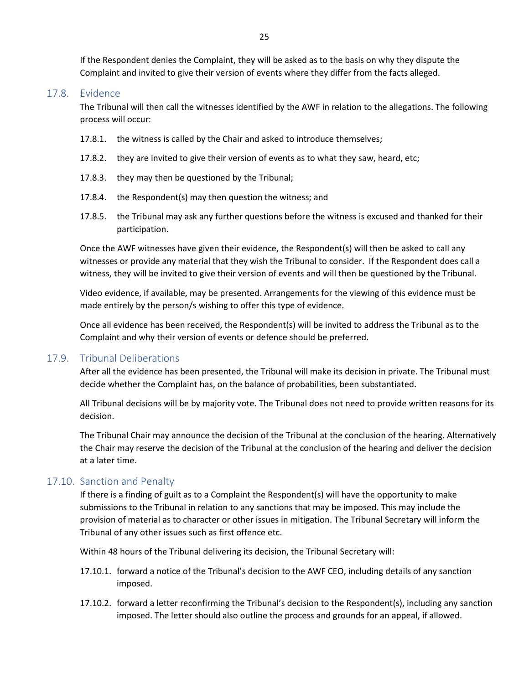If the Respondent denies the Complaint, they will be asked as to the basis on why they dispute the Complaint and invited to give their version of events where they differ from the facts alleged.

#### <span id="page-24-0"></span>17.8. Evidence

The Tribunal will then call the witnesses identified by the AWF in relation to the allegations. The following process will occur:

- 17.8.1. the witness is called by the Chair and asked to introduce themselves;
- 17.8.2. they are invited to give their version of events as to what they saw, heard, etc;
- 17.8.3. they may then be questioned by the Tribunal;
- 17.8.4. the Respondent(s) may then question the witness; and
- 17.8.5. the Tribunal may ask any further questions before the witness is excused and thanked for their participation.

Once the AWF witnesses have given their evidence, the Respondent(s) will then be asked to call any witnesses or provide any material that they wish the Tribunal to consider. If the Respondent does call a witness, they will be invited to give their version of events and will then be questioned by the Tribunal.

Video evidence, if available, may be presented. Arrangements for the viewing of this evidence must be made entirely by the person/s wishing to offer this type of evidence.

Once all evidence has been received, the Respondent(s) will be invited to address the Tribunal as to the Complaint and why their version of events or defence should be preferred.

#### <span id="page-24-1"></span>17.9. Tribunal Deliberations

After all the evidence has been presented, the Tribunal will make its decision in private. The Tribunal must decide whether the Complaint has, on the balance of probabilities, been substantiated.

All Tribunal decisions will be by majority vote. The Tribunal does not need to provide written reasons for its decision.

The Tribunal Chair may announce the decision of the Tribunal at the conclusion of the hearing. Alternatively the Chair may reserve the decision of the Tribunal at the conclusion of the hearing and deliver the decision at a later time.

#### <span id="page-24-2"></span>17.10. Sanction and Penalty

If there is a finding of guilt as to a Complaint the Respondent(s) will have the opportunity to make submissions to the Tribunal in relation to any sanctions that may be imposed. This may include the provision of material as to character or other issues in mitigation. The Tribunal Secretary will inform the Tribunal of any other issues such as first offence etc.

Within 48 hours of the Tribunal delivering its decision, the Tribunal Secretary will:

- 17.10.1. forward a notice of the Tribunal's decision to the AWF CEO, including details of any sanction imposed.
- 17.10.2. forward a letter reconfirming the Tribunal's decision to the Respondent(s), including any sanction imposed. The letter should also outline the process and grounds for an appeal, if allowed.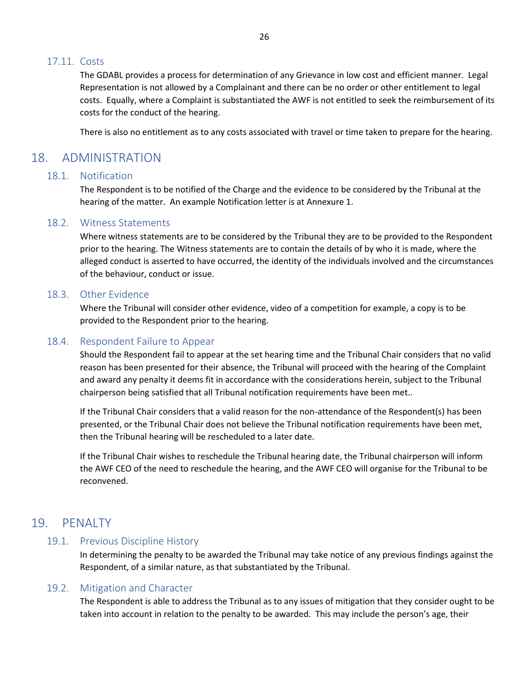#### <span id="page-25-0"></span>17.11. Costs

The GDABL provides a process for determination of any Grievance in low cost and efficient manner. Legal Representation is not allowed by a Complainant and there can be no order or other entitlement to legal costs. Equally, where a Complaint is substantiated the AWF is not entitled to seek the reimbursement of its costs for the conduct of the hearing.

There is also no entitlement as to any costs associated with travel or time taken to prepare for the hearing.

## <span id="page-25-2"></span><span id="page-25-1"></span>18. ADMINISTRATION

#### 18.1. Notification

The Respondent is to be notified of the Charge and the evidence to be considered by the Tribunal at the hearing of the matter. An example Notification letter is at Annexure 1.

#### <span id="page-25-3"></span>18.2. Witness Statements

Where witness statements are to be considered by the Tribunal they are to be provided to the Respondent prior to the hearing. The Witness statements are to contain the details of by who it is made, where the alleged conduct is asserted to have occurred, the identity of the individuals involved and the circumstances of the behaviour, conduct or issue.

#### <span id="page-25-4"></span>18.3. Other Evidence

Where the Tribunal will consider other evidence, video of a competition for example, a copy is to be provided to the Respondent prior to the hearing.

#### <span id="page-25-5"></span>18.4. Respondent Failure to Appear

Should the Respondent fail to appear at the set hearing time and the Tribunal Chair considers that no valid reason has been presented for their absence, the Tribunal will proceed with the hearing of the Complaint and award any penalty it deems fit in accordance with the considerations herein, subject to the Tribunal chairperson being satisfied that all Tribunal notification requirements have been met..

If the Tribunal Chair considers that a valid reason for the non-attendance of the Respondent(s) has been presented, or the Tribunal Chair does not believe the Tribunal notification requirements have been met, then the Tribunal hearing will be rescheduled to a later date.

If the Tribunal Chair wishes to reschedule the Tribunal hearing date, the Tribunal chairperson will inform the AWF CEO of the need to reschedule the hearing, and the AWF CEO will organise for the Tribunal to be reconvened.

## <span id="page-25-7"></span><span id="page-25-6"></span>19. PENALTY

#### 19.1. Previous Discipline History

In determining the penalty to be awarded the Tribunal may take notice of any previous findings against the Respondent, of a similar nature, as that substantiated by the Tribunal.

#### <span id="page-25-8"></span>19.2. Mitigation and Character

The Respondent is able to address the Tribunal as to any issues of mitigation that they consider ought to be taken into account in relation to the penalty to be awarded. This may include the person's age, their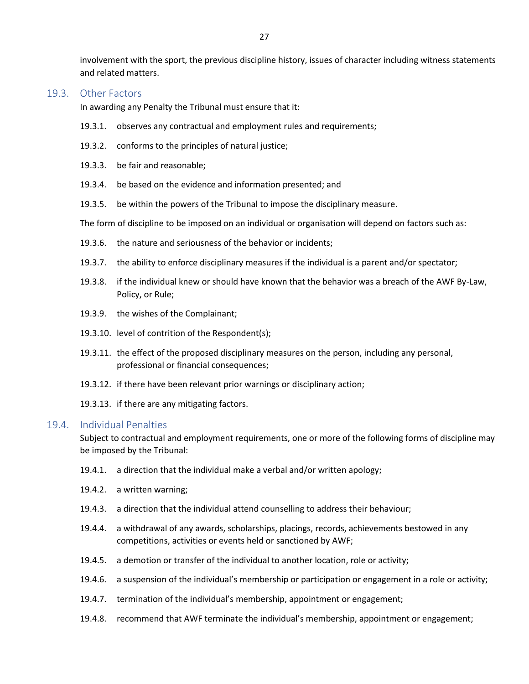involvement with the sport, the previous discipline history, issues of character including witness statements and related matters.

#### <span id="page-26-0"></span>19.3. Other Factors

In awarding any Penalty the Tribunal must ensure that it:

- 19.3.1. observes any contractual and employment rules and requirements;
- 19.3.2. conforms to the principles of natural justice;
- 19.3.3. be fair and reasonable;
- 19.3.4. be based on the evidence and information presented; and
- 19.3.5. be within the powers of the Tribunal to impose the disciplinary measure.

The form of discipline to be imposed on an individual or organisation will depend on factors such as:

- 19.3.6. the nature and seriousness of the behavior or incidents;
- 19.3.7. the ability to enforce disciplinary measures if the individual is a parent and/or spectator;
- 19.3.8. if the individual knew or should have known that the behavior was a breach of the AWF By-Law, Policy, or Rule;
- 19.3.9. the wishes of the Complainant;
- 19.3.10. level of contrition of the Respondent(s);
- 19.3.11. the effect of the proposed disciplinary measures on the person, including any personal, professional or financial consequences;
- 19.3.12. if there have been relevant prior warnings or disciplinary action;
- 19.3.13. if there are any mitigating factors.

#### <span id="page-26-1"></span>19.4. Individual Penalties

Subject to contractual and employment requirements, one or more of the following forms of discipline may be imposed by the Tribunal:

- 19.4.1. a direction that the individual make a verbal and/or written apology;
- 19.4.2. a written warning;
- 19.4.3. a direction that the individual attend counselling to address their behaviour;
- 19.4.4. a withdrawal of any awards, scholarships, placings, records, achievements bestowed in any competitions, activities or events held or sanctioned by AWF;
- 19.4.5. a demotion or transfer of the individual to another location, role or activity;
- 19.4.6. a suspension of the individual's membership or participation or engagement in a role or activity;
- 19.4.7. termination of the individual's membership, appointment or engagement;
- 19.4.8. recommend that AWF terminate the individual's membership, appointment or engagement;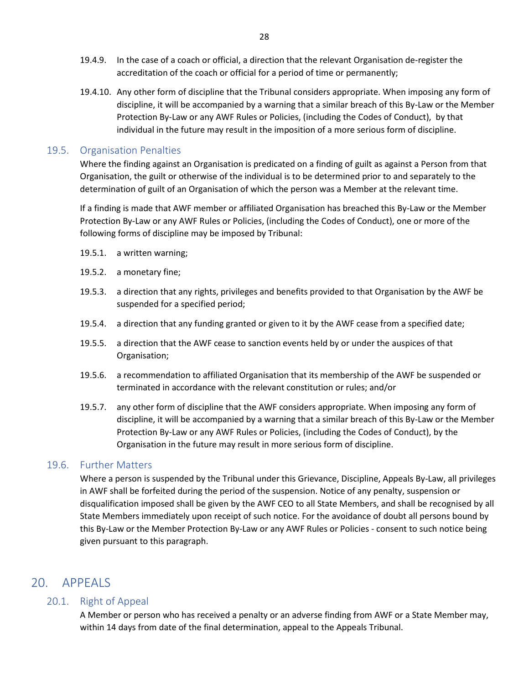- 19.4.9. In the case of a coach or official, a direction that the relevant Organisation de-register the accreditation of the coach or official for a period of time or permanently;
- 19.4.10. Any other form of discipline that the Tribunal considers appropriate. When imposing any form of discipline, it will be accompanied by a warning that a similar breach of this By-Law or the Member Protection By-Law or any AWF Rules or Policies, (including the Codes of Conduct), by that individual in the future may result in the imposition of a more serious form of discipline.

#### <span id="page-27-0"></span>19.5. Organisation Penalties

Where the finding against an Organisation is predicated on a finding of guilt as against a Person from that Organisation, the guilt or otherwise of the individual is to be determined prior to and separately to the determination of guilt of an Organisation of which the person was a Member at the relevant time.

If a finding is made that AWF member or affiliated Organisation has breached this By-Law or the Member Protection By-Law or any AWF Rules or Policies, (including the Codes of Conduct), one or more of the following forms of discipline may be imposed by Tribunal:

- 19.5.1. a written warning;
- 19.5.2. a monetary fine;
- 19.5.3. a direction that any rights, privileges and benefits provided to that Organisation by the AWF be suspended for a specified period;
- 19.5.4. a direction that any funding granted or given to it by the AWF cease from a specified date;
- 19.5.5. a direction that the AWF cease to sanction events held by or under the auspices of that Organisation;
- 19.5.6. a recommendation to affiliated Organisation that its membership of the AWF be suspended or terminated in accordance with the relevant constitution or rules; and/or
- 19.5.7. any other form of discipline that the AWF considers appropriate. When imposing any form of discipline, it will be accompanied by a warning that a similar breach of this By-Law or the Member Protection By-Law or any AWF Rules or Policies, (including the Codes of Conduct), by the Organisation in the future may result in more serious form of discipline.

#### <span id="page-27-1"></span>19.6. Further Matters

Where a person is suspended by the Tribunal under this Grievance, Discipline, Appeals By-Law, all privileges in AWF shall be forfeited during the period of the suspension. Notice of any penalty, suspension or disqualification imposed shall be given by the AWF CEO to all State Members, and shall be recognised by all State Members immediately upon receipt of such notice. For the avoidance of doubt all persons bound by this By-Law or the Member Protection By-Law or any AWF Rules or Policies - consent to such notice being given pursuant to this paragraph.

## <span id="page-27-3"></span><span id="page-27-2"></span>20. APPEALS

#### 20.1. Right of Appeal

A Member or person who has received a penalty or an adverse finding from AWF or a State Member may, within 14 days from date of the final determination, appeal to the Appeals Tribunal.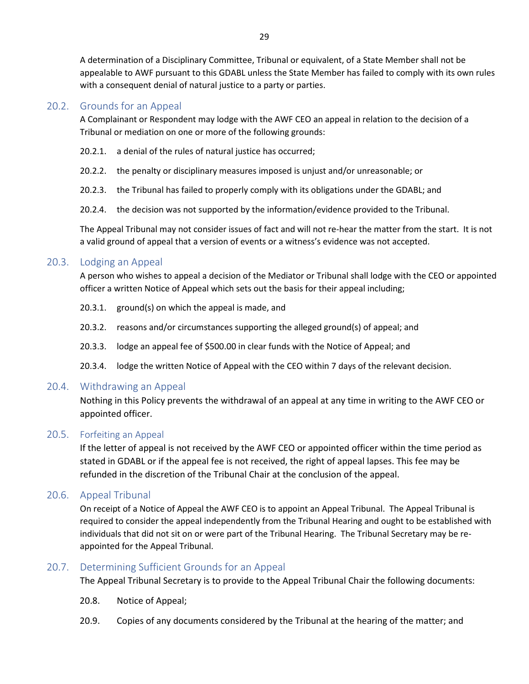A determination of a Disciplinary Committee, Tribunal or equivalent, of a State Member shall not be appealable to AWF pursuant to this GDABL unless the State Member has failed to comply with its own rules with a consequent denial of natural justice to a party or parties.

#### <span id="page-28-0"></span>20.2. Grounds for an Appeal

A Complainant or Respondent may lodge with the AWF CEO an appeal in relation to the decision of a Tribunal or mediation on one or more of the following grounds:

- 20.2.1. a denial of the rules of natural justice has occurred;
- 20.2.2. the penalty or disciplinary measures imposed is unjust and/or unreasonable; or
- 20.2.3. the Tribunal has failed to properly comply with its obligations under the GDABL; and
- 20.2.4. the decision was not supported by the information/evidence provided to the Tribunal.

The Appeal Tribunal may not consider issues of fact and will not re-hear the matter from the start. It is not a valid ground of appeal that a version of events or a witness's evidence was not accepted.

#### <span id="page-28-1"></span>20.3. Lodging an Appeal

A person who wishes to appeal a decision of the Mediator or Tribunal shall lodge with the CEO or appointed officer a written Notice of Appeal which sets out the basis for their appeal including;

- 20.3.1. ground(s) on which the appeal is made, and
- 20.3.2. reasons and/or circumstances supporting the alleged ground(s) of appeal; and
- 20.3.3. lodge an appeal fee of \$500.00 in clear funds with the Notice of Appeal; and
- 20.3.4. lodge the written Notice of Appeal with the CEO within 7 days of the relevant decision.

#### <span id="page-28-2"></span>20.4. Withdrawing an Appeal

Nothing in this Policy prevents the withdrawal of an appeal at any time in writing to the AWF CEO or appointed officer.

#### <span id="page-28-3"></span>20.5. Forfeiting an Appeal

If the letter of appeal is not received by the AWF CEO or appointed officer within the time period as stated in GDABL or if the appeal fee is not received, the right of appeal lapses. This fee may be refunded in the discretion of the Tribunal Chair at the conclusion of the appeal.

#### <span id="page-28-4"></span>20.6. Appeal Tribunal

On receipt of a Notice of Appeal the AWF CEO is to appoint an Appeal Tribunal. The Appeal Tribunal is required to consider the appeal independently from the Tribunal Hearing and ought to be established with individuals that did not sit on or were part of the Tribunal Hearing. The Tribunal Secretary may be reappointed for the Appeal Tribunal.

#### <span id="page-28-5"></span>20.7. Determining Sufficient Grounds for an Appeal

The Appeal Tribunal Secretary is to provide to the Appeal Tribunal Chair the following documents:

- 20.8. Notice of Appeal;
- 20.9. Copies of any documents considered by the Tribunal at the hearing of the matter; and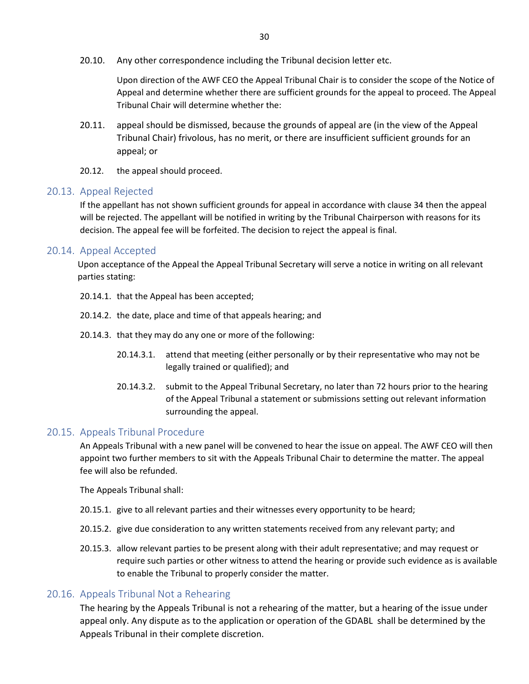20.10. Any other correspondence including the Tribunal decision letter etc.

Upon direction of the AWF CEO the Appeal Tribunal Chair is to consider the scope of the Notice of Appeal and determine whether there are sufficient grounds for the appeal to proceed. The Appeal Tribunal Chair will determine whether the:

- 20.11. appeal should be dismissed, because the grounds of appeal are (in the view of the Appeal Tribunal Chair) frivolous, has no merit, or there are insufficient sufficient grounds for an appeal; or
- 20.12. the appeal should proceed.

#### <span id="page-29-0"></span>20.13. Appeal Rejected

If the appellant has not shown sufficient grounds for appeal in accordance with clause 34 then the appeal will be rejected. The appellant will be notified in writing by the Tribunal Chairperson with reasons for its decision. The appeal fee will be forfeited. The decision to reject the appeal is final.

#### <span id="page-29-1"></span>20.14. Appeal Accepted

Upon acceptance of the Appeal the Appeal Tribunal Secretary will serve a notice in writing on all relevant parties stating:

- 20.14.1. that the Appeal has been accepted;
- 20.14.2. the date, place and time of that appeals hearing; and
- 20.14.3. that they may do any one or more of the following:
	- 20.14.3.1. attend that meeting (either personally or by their representative who may not be legally trained or qualified); and
	- 20.14.3.2. submit to the Appeal Tribunal Secretary, no later than 72 hours prior to the hearing of the Appeal Tribunal a statement or submissions setting out relevant information surrounding the appeal.

#### <span id="page-29-2"></span>20.15. Appeals Tribunal Procedure

An Appeals Tribunal with a new panel will be convened to hear the issue on appeal. The AWF CEO will then appoint two further members to sit with the Appeals Tribunal Chair to determine the matter. The appeal fee will also be refunded.

The Appeals Tribunal shall:

- 20.15.1. give to all relevant parties and their witnesses every opportunity to be heard;
- 20.15.2. give due consideration to any written statements received from any relevant party; and
- 20.15.3. allow relevant parties to be present along with their adult representative; and may request or require such parties or other witness to attend the hearing or provide such evidence as is available to enable the Tribunal to properly consider the matter.

#### <span id="page-29-3"></span>20.16. Appeals Tribunal Not a Rehearing

The hearing by the Appeals Tribunal is not a rehearing of the matter, but a hearing of the issue under appeal only. Any dispute as to the application or operation of the GDABL shall be determined by the Appeals Tribunal in their complete discretion.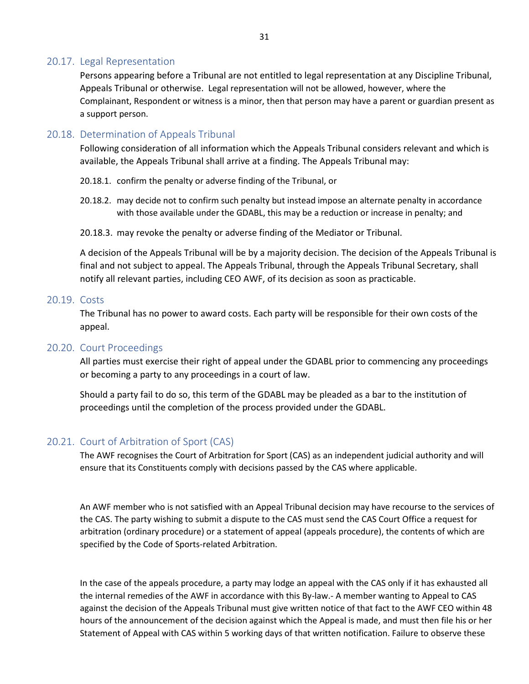#### <span id="page-30-0"></span>20.17. Legal Representation

Persons appearing before a Tribunal are not entitled to legal representation at any Discipline Tribunal, Appeals Tribunal or otherwise. Legal representation will not be allowed, however, where the Complainant, Respondent or witness is a minor, then that person may have a parent or guardian present as a support person.

#### <span id="page-30-1"></span>20.18. Determination of Appeals Tribunal

Following consideration of all information which the Appeals Tribunal considers relevant and which is available, the Appeals Tribunal shall arrive at a finding. The Appeals Tribunal may:

- 20.18.1. confirm the penalty or adverse finding of the Tribunal, or
- 20.18.2. may decide not to confirm such penalty but instead impose an alternate penalty in accordance with those available under the GDABL, this may be a reduction or increase in penalty; and
- 20.18.3. may revoke the penalty or adverse finding of the Mediator or Tribunal.

A decision of the Appeals Tribunal will be by a majority decision. The decision of the Appeals Tribunal is final and not subject to appeal. The Appeals Tribunal, through the Appeals Tribunal Secretary, shall notify all relevant parties, including CEO AWF, of its decision as soon as practicable.

#### <span id="page-30-2"></span>20.19. Costs

The Tribunal has no power to award costs. Each party will be responsible for their own costs of the appeal.

#### <span id="page-30-3"></span>20.20. Court Proceedings

All parties must exercise their right of appeal under the GDABL prior to commencing any proceedings or becoming a party to any proceedings in a court of law.

Should a party fail to do so, this term of the GDABL may be pleaded as a bar to the institution of proceedings until the completion of the process provided under the GDABL.

#### <span id="page-30-4"></span>20.21. Court of Arbitration of Sport (CAS)

The AWF recognises the Court of Arbitration for Sport (CAS) as an independent judicial authority and will ensure that its Constituents comply with decisions passed by the CAS where applicable.

An AWF member who is not satisfied with an Appeal Tribunal decision may have recourse to the services of the CAS. The party wishing to submit a dispute to the CAS must send the CAS Court Office a request for arbitration (ordinary procedure) or a statement of appeal (appeals procedure), the contents of which are specified by the Code of Sports-related Arbitration.

In the case of the appeals procedure, a party may lodge an appeal with the CAS only if it has exhausted all the internal remedies of the AWF in accordance with this By-law.- A member wanting to Appeal to CAS against the decision of the Appeals Tribunal must give written notice of that fact to the AWF CEO within 48 hours of the announcement of the decision against which the Appeal is made, and must then file his or her Statement of Appeal with CAS within 5 working days of that written notification. Failure to observe these